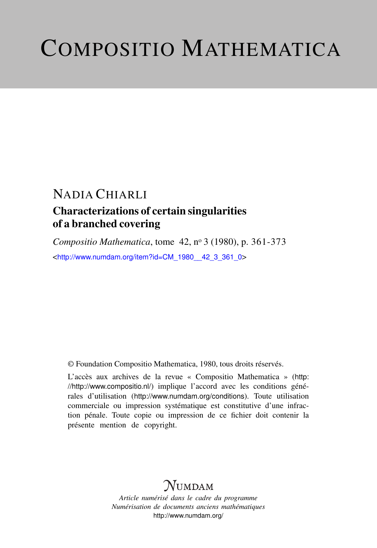# COMPOSITIO MATHEMATICA

## NADIA CHIARLI

### Characterizations of certain singularities of a branched covering

*Compositio Mathematica*, tome 42, n<sup>o</sup> 3 (1980), p. 361-373 <[http://www.numdam.org/item?id=CM\\_1980\\_\\_42\\_3\\_361\\_0](http://www.numdam.org/item?id=CM_1980__42_3_361_0)>

© Foundation Compositio Mathematica, 1980, tous droits réservés.

L'accès aux archives de la revue « Compositio Mathematica » ([http:](http://http://www.compositio.nl/) [//http://www.compositio.nl/](http://http://www.compositio.nl/)) implique l'accord avec les conditions générales d'utilisation (<http://www.numdam.org/conditions>). Toute utilisation commerciale ou impression systématique est constitutive d'une infraction pénale. Toute copie ou impression de ce fichier doit contenir la présente mention de copyright.

## $N$ UMDAM

*Article numérisé dans le cadre du programme Numérisation de documents anciens mathématiques* <http://www.numdam.org/>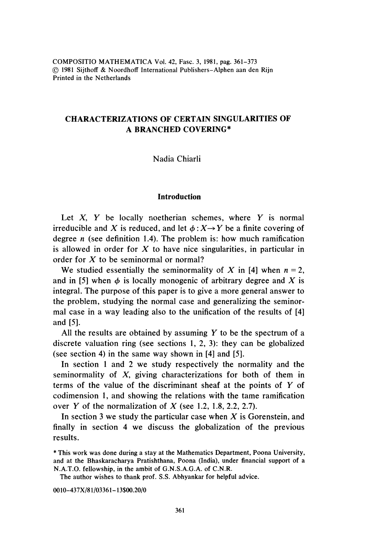COMPOSITIO MATHEMATICA Vol. 42, Fasc. 3, 1981, pag. 361-373 © 1981 Sijthoff & Noordhofl International Publishers-Alphen aan den Rijn Printed in the Netherlands

#### CHARACTERIZATIONS OF CERTAIN SINGULARITIES OF A BRANCHED COVERING\*

Nadia Chiarli

#### Introduction

Let  $X$ ,  $Y$  be locally noetherian schemes, where  $Y$  is normal irreducible and X is reduced, and let  $\phi : X \rightarrow Y$  be a finite covering of degree  $n$  (see definition 1.4). The problem is: how much ramification is allowed in order for  $X$  to have nice singularities, in particular in order for X to be seminormal or normal?

We studied essentially the seminormality of X in [4] when  $n = 2$ , and in [5] when  $\phi$  is locally monogenic of arbitrary degree and X is integral. The purpose of this paper is to give a more general answer to the problem, studying the normal case and generalizing the seminormal case in a way leading also to the unification of the results of [4] and [5].

All the results are obtained by assuming  $Y$  to be the spectrum of a discrete valuation ring (see sections 1, 2, 3): they can be globalized (see section 4) in the same way shown in [4] and [5].

In section 1 and 2 we study respectively the normality and the seminormality of X, giving characterizations for both of them in terms of the value of the discriminant sheaf at the points of Y of codimension 1, and showing the relations with the tame ramification over Y of the normalization of X (see 1.2, 1.8, 2.2, 2.7).

In section 3 we study the particular case when  $X$  is Gorenstein, and finally in section 4 we discuss the globalization of the previous results.

The author wishes to thank prof. S.S. Abhyankar for helpful advice.

0010-437X/81/03361-13\$00.20/0

<sup>\*</sup> This work was done during a stay at the Mathematics Department, Poona University, and at the Bhaskaracharya Pratishthana, Poona (India), under financial support of a N.A.T.O. fellowship, in the ambit of G.N.S.A.G.A. of C.N.R.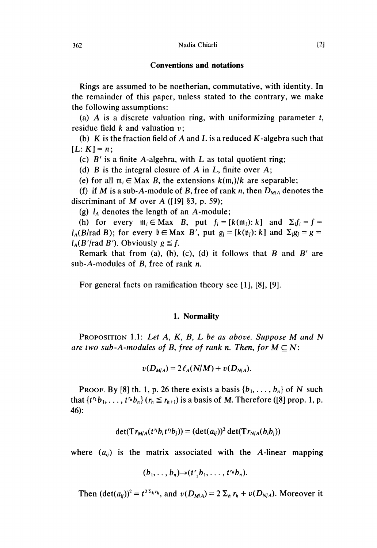#### C onventions and notations

Rings are assumed to be noetherian, commutative, with identity. In the remainder of this paper, unless stated to the contrary, we make the following assumptions:

(a)  $\overline{A}$  is a discrete valuation ring, with uniformizing parameter t, residue field  $k$  and valuation  $v$ :

(b)  $K$  is the fraction field of A and L is a reduced  $K$ -algebra such that  $[L : K] = n$ ;

(c)  $B'$  is a finite A-algebra, with L as total quotient ring;

(d)  $B$  is the integral closure of  $A$  in  $L$ , finite over  $A$ ;

(e) for all  $m_i \in Max$  B, the extensions  $k(m_i)/k$  are separable;

(f) if M is a sub-A-module of B, free of rank n, then  $D_{M/A}$  denotes the discriminant of M over A ( $[19]$  §3, p. 59);

(g)  $l_A$  denotes the length of an A-module;

(h) for every  $m_i \in Max$  B, put  $f_i = [k(m_i): k]$  and  $\Sigma_i f_i = f =$  $l_A(B)$ rad B); for every  $\mathfrak{b} \in \mathbf{Max}$  B', put  $g_j = [k(\mathfrak{p}_j): k]$  and  $\Sigma_i g_j = g =$  $l_A(B'/rad B')$ . Obviously  $g \leq f$ .

Remark that from (a), (b), (c), (d) it follows that  $B$  and  $B'$  are sub-A-modules of  $B$ , free of rank  $n$ .

For general facts on ramification theory see [1], [8], [9].

#### 1. Normality

PROPOSITION 1.1: Let  $A$ ,  $K$ ,  $B$ ,  $L$  be as above. Suppose M and N are two sub-A-modules of B, free of rank n. Then, for  $M \subset N$ :

$$
v(D_{M/A})=2\ell_A(N/M)+v(D_{N/A}).
$$

PROOF. By [8] th. 1, p. 26 there exists a basis  $\{b_1, \ldots, b_n\}$  of N such that  $\{t^{r_1}b_1, \ldots, t^{r_n}b_n\}$   $(r_h \le r_{h+1})$  is a basis of M. Therefore ([8] prop. 1, p. 46):

$$
\det(\mathrm{Tr}_{M/A}(t^{r_i}b_i t^{r_j}b_j)) = (\det(a_{ij}))^2 \det(\mathrm{Tr}_{N/A}(b_i b_j))
$$

where  $(a_{ii})$  is the matrix associated with the A-linear mapping

$$
(b_1,\ldots,b_n){\rightarrow}(t^r,b_1,\ldots,t^{r_n}b_n).
$$

Then  $(\det(a_{ii}))^2 = t^{2\sum_h r_h}$ , and  $v(D_{M/A}) = 2\sum_h r_h + v(D_{N/A})$ . Moreover it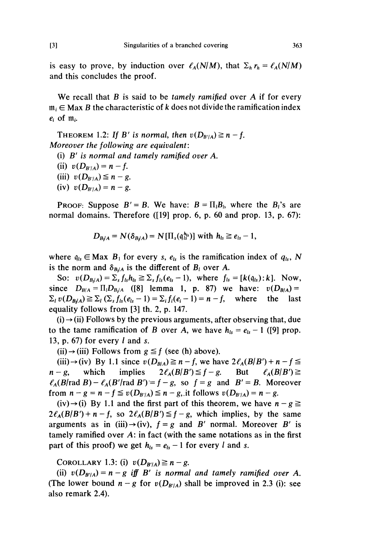is easy to prove, by induction over  $\ell_A(N/M)$ , that  $\Sigma_h r_h = \ell_A(N/M)$ and this concludes the proof.

We recall that  $B$  is said to be tamely ramified over  $A$  if for every  $m_i \in Max B$  the characteristic of k does not divide the ramification index  $e_i$  of  $m_i$ .

THEOREM 1.2: If B' is normal, then  $v(D_{B'/A}) \ge n - f$ . Moreover the following are equivalent:

- (i)  $B'$  is normal and tamely ramified over A.
- (ii)  $v(D_{B'/A}) = n f$ .
- (iii)  $v(D_{B'/A}) \leq n g$ .
- (iv)  $v(D_{B'/A}) = n g$ .

PROOF: Suppose  $B' = B$ . We have:  $B = \prod_{i} B_{i}$ , where the  $B_{i}$ 's are normal domains. Therefore ([19] prop. 6, p. 60 and prop. 13, p. 67):

$$
D_{B/A} = N(\delta_{B/A}) = N[\Pi_s(\mathfrak{q}_s^{h_s})] \text{ with } h_{ls} \geq e_{ls} - 1,
$$

where  $q_{ls} \in \text{Max } B_1$  for every s,  $e_{ls}$  is the ramification index of  $q_{ls}$ , N is the norm and  $\delta_{B/A}$  is the different of  $B<sub>l</sub>$  over A.

So:  $v(D_{B/d}) = \sum_s f_{ls}h_{ls} \geq \sum_s f_{ls}(e_{ls} - 1)$ , where  $f_{ls} = [k(q_{ls}):k]$ . Now, and this concludes the proof.<br>
We recall that B is said to be *tamely ramified* over A if for every<br>  $m_i \in Max B$  the characteristic of k does not divide the ramification index<br>  $e_i$  of  $m_i$ .<br>
THEOREM 1.2: If B' is normal, th since  $D_{B/A} = \prod_{l} D_{B_l/A}$  ([8] lemma 1, p. 87) we have:  $v(D_{B/A}) =$  $\Sigma_i v(D_{B/A}) \geq \Sigma_i (\Sigma_s f_{ls}(e_{ls}-1)) = \Sigma_i f_i(e_i-1) = n-f$ , where the last equality follows from [3] th. 2, p. 147.

 $(i) \rightarrow (ii)$  Follows by the previous arguments, after observing that, due to the tame ramification of B over A, we have  $h_{ls} = e_{ls} - 1$  ([9] prop. 13, p. 67) for every  $l$  and s.

(ii)  $\rightarrow$  (iii) Follows from  $g \leq f$  (see (h) above).

(iii)  $\rightarrow$  (iv) By 1.1 since  $v(D_{B/A}) \ge n - f$ , we have  $2\ell_A(B/B') + n - f \le$  $n-g$ , which implies  $2\ell_A(B/B') \leq f-g$ . But  $\ell_A(B/B') \geq$  $\ell_A(B\text{rad }B) - \ell_A(B'\text{rad }B') = f - g$ , so  $f = g$  and  $B' = B$ . Moreover from  $n - g = n - f \le v(D_{B'/A}) \le n - g$ , it follows  $v(D_{B'/A}) = n - g$ .

 $(iv) \rightarrow (i)$  By 1.1 and the first part of this theorem, we have  $n - g \ge$  $2\ell_A(B/B') + n - f$ , so  $2\ell_A(B/B') \leq f - g$ , which implies, by the same arguments as in (iii) $\rightarrow$ (iv),  $f = g$  and B' normal. Moreover B' is tamely ramified over  $A$ : in fact (with the same notations as in the first part of this proof) we get  $h_{ls} = e_{ls} - 1$  for every l and s.

COROLLARY 1.3: (i)  $v(D_{B'/A}) \ge n - g$ .

(ii)  $v(D_{B'/A}) = n - g$  iff B' is normal and tamely ramified over A. (The lower bound  $n-g$  for  $v(D_{B'/A})$  shall be improved in 2.3 (i): see also remark 2.4).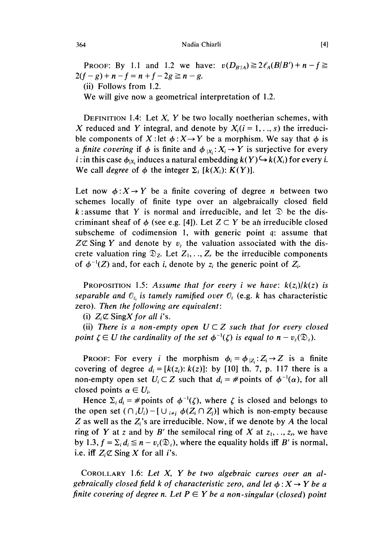#### Nadia Chiarli

PROOF: By 1.1 and 1.2 we have:  $v(D_{B'/A}) \ge 2\ell_A(B/B') + n - f \ge$  $2(f-g)+n-f = n+f - 2g \ge n-g$ . (ii) Follows from 1.2.

We will give now a geometrical interpretation of 1.2.

DEFINITION 1.4: Let  $X$ ,  $Y$  be two locally noetherian schemes, with X reduced and Y integral, and denote by  $X_i$  ( $i = 1, \ldots, s$ ) the irreducible components of X:let  $\phi$ :  $X \rightarrow Y$  be a morphism. We say that  $\phi$  is a finite covering if  $\phi$  is finite and  $\phi_{|X}: X_i \to Y$  is surjective for every *i* : in this case  $\phi_{|X_i}$  induces a natural embedding  $k(Y) \hookrightarrow k(X_i)$  for every *i*. We call degree of  $\phi$  the integer  $\Sigma_i$  [k(X<sub>i</sub>): K(Y)].

Let now  $\phi: X \to Y$  be a finite covering of degree *n* between two schemes locally of finite type over an algebraically closed field k : assume that Y is normal and irreducible, and let  $\mathcal{D}$  be the discriminant sheaf of  $\phi$  (see e.g. [4]). Let  $Z \subset Y$  be an irreducible closed subscheme of codimension 1, with generic point q: assume that  $Z\mathfrak{C}$  Sing Y and denote by v, the valuation associated with the discrete valuation ring  $\mathcal{D}_z$ . Let  $Z_1, \ldots, Z_r$  be the irreducible components of  $\phi^{-1}(Z)$  and, for each i, denote by  $z_i$  the generic point of  $Z_i$ .

**PROPOSITION** 1.5: Assume that for every i we have:  $k(z_i)/k(z)$  is separable and  $\mathbb{O}_z$  is tamely ramified over  $\mathbb{O}_z$  (e.g. k has characteristic zero). Then the following are equivalent:

(i)  $Z_i \mathbb{Z}$  Sing X for all i's.

(ii) There is a non-empty open  $U \subset Z$  such that for every closed point  $\zeta \in U$  the cardinality of the set  $\phi^{-1}(\zeta)$  is equal to  $n - v_{z}(\mathfrak{D}_{z}).$ 

**PROOF:** For every *i* the morphism  $\phi_i = \phi_{|Z_i}: Z_i \rightarrow Z$  is a finite covering of degree  $d_i = [k(z_i): k(z)]$ : by [10] th. 7, p. 117 there is a non-empty open set  $U_i \subset Z$  such that  $d_i = \#$  points of  $\phi^{-1}(\alpha)$ , for all closed points  $\alpha \in U_i$ .

Hence  $\Sigma_i d_i = \#$  points of  $\phi^{-1}(\zeta)$ , where  $\zeta$  is closed and belongs to the open set  $(\bigcap_i U_i) - [\bigcup_{i \neq j} \phi(Z_i \cap Z_j)]$  which is non-empty because Z as well as the  $Z_i$ 's are irreducible. Now, if we denote by A the local ring of Y at z and by B' the semilocal ring of X at  $z_1, \ldots, z_r$ , we have by 1.3,  $f = \sum_i d_i \leq n - v_z(\mathfrak{D}_z)$ , where the equality holds iff B' is normal, i.e. iff  $Z_i \mathbb{Z}$  Sing X for all *i*'s.

COROLLARY 1.6: Let  $X$ ,  $Y$  be two algebraic curves over an algebraically closed field k of characteristic zero, and let  $\phi: X \rightarrow Y$  be a finite covering of degree n. Let  $P \in Y$  be a non-singular (closed) point

364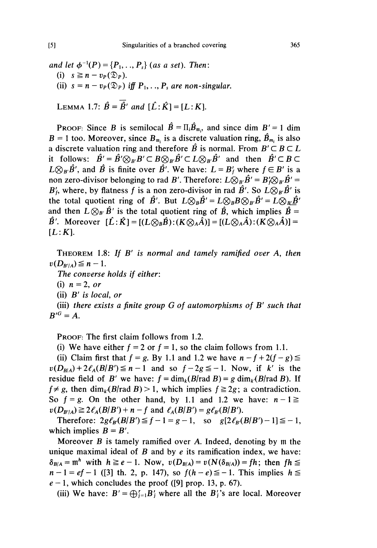and let  $\phi^{-1}(P) = \{P_1, ..., P_s\}$  (as a set). Then: (i)  $s \geq n - v_P(\mathfrak{D}_P)$ . (ii)  $s = n - v_P(\mathfrak{D}_P)$  iff  $P_1, \ldots, P_s$  are non-singular.

LEMMA 1.7:  $\hat{B} = \overline{\hat{B}}'$  and  $[\hat{L}: \hat{K}] = [L:K]$ .

**PROOF:** Since B is semilocal  $\hat{B} = \Pi_i \hat{B}_{m_i}$ , and since dim  $B' = 1$  dim  $B = 1$  too. Moreover, since  $B_{m_i}$  is a discrete valuation ring,  $\hat{B}_{m_i}$  is also a discrete valuation ring and therefore  $\hat{B}$  is normal. From  $B' \subseteq B \subseteq L$ it follows:  $\hat{B}' = \hat{B}' \otimes_{B'} B' \subset B \otimes_{B'} \hat{B}' \subset L \otimes_{B'} \hat{B}'$  and then  $\hat{B}' \subset B \subset$  $L\otimes_{B} \hat{B}'$ , and  $\hat{B}$  is finite over  $\hat{B}'$ . We have:  $L = B'$  where  $f \in B'$  is a non zero-divisor belonging to rad B'. Therefore:  $L\hat{\otimes}_B \hat{B}' = B' \hat{\otimes}_B \hat{B}' =$  $B'_f$ , where, by flatness f is a non zero-divisor in rad  $\hat{B}'$ . So  $L\widetilde{\otimes}_{B'}\hat{B}'$  is the total quotient ring of  $\hat{B}'$ . But  $L\otimes_B \hat{B}' = L\otimes_B B\otimes_B \hat{B}' = L\otimes_B \hat{B}'$ and then  $L \otimes_{B'} \hat{B}'$  is the total quotient ring of  $\hat{B}$ , which implies  $\hat{B} =$  $\hat{B}'$ . Moreover  $[\hat{L}: \hat{K}] = [(L \otimes_B \hat{B}) : (K \otimes_A \hat{A})] = [(L \otimes_A \hat{A}) : (K \otimes_A \hat{A})] =$  $[L: K]$ .

THEOREM 1.8: If  $B'$  is normal and tamely ramified over  $A$ , then  $v(D_{B'/A}) \leq n - 1.$ 

The converse holds if either:

(i)  $n = 2$ , or

(ii) B' is local, or

(iii) there exists a finite group  $G$  of automorphisms of  $B'$  such that  $B^{\prime G}=A.$ 

PROOF: The first claim follows from 1.2.

(i) We have either  $f = 2$  or  $f = 1$ , so the claim follows from 1.1.

(ii) Claim first that  $f = g$ . By 1.1 and 1.2 we have  $n - f + 2(f - g) \le$  $v(D_{B/A}) + 2\ell_A(B/B') \leq n-1$  and so  $f-2g \leq -1$ . Now, if k' is the residue field of B' we have:  $f = \dim_k(B/\text{rad } B) = g \dim_k(B/\text{rad } B)$ . If  $f \neq g$ , then dim<sub>k</sub>(B/rad B) > 1, which implies  $f \geq 2g$ ; a contradiction. So  $f = g$ . On the other hand, by 1.1 and 1.2 we have:  $n - 1 \ge$  $v(D_{B'/A}) \geq 2\ell_A(B/B') + n - f$  and  $\ell_A(B/B') = g\ell_B(B/B')$ .

Therefore:  $2g\ell_B(B/B') \leq f-1=g-1$ , so  $g[2\ell_B(B/B')-1] \leq -1$ , which implies  $B = B'$ .

Moreover B is tamely ramified over A. Indeed, denoting by m the unique maximal ideal of  $B$  and by  $e$  its ramification index, we have:  $\delta_{B/A} = m^h$  with  $h \ge e - 1$ . Now,  $v(D_{B/A}) = v(N(\delta_{B/A})) = fh$ ; then  $fh \le$  $n-1 = ef-1$  ([3] th. 2, p. 147), so  $f(h - e) \leq -1$ . This implies  $h \leq$  $e-1$ , which concludes the proof ([9] prop. 13, p. 67).

(iii) We have:  $B' = \bigoplus_{i=1}^r B'_i$  where all the  $B'_i$ 's are local. Moreover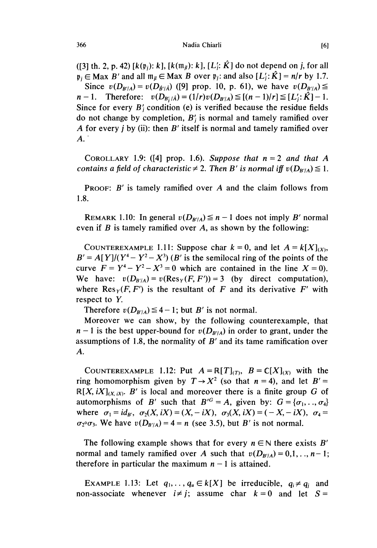([3] th. 2, p. 42)  $[k(\mathfrak{p}_i): k]$ ,  $[k(\mathfrak{m}_i): k]$ ,  $[L'_i: \hat{K}]$  do not depend on j, for all  $\mathfrak{p}_i \in \text{Max } B'$  and all  $\mathfrak{m}_{ii} \in \text{Max } B$  over  $\mathfrak{p}_i$ : and also  $[L'_i: \hat{K}] = n/r$  by 1.7. Since  $v(D_{B'/A}) = v(D_{\hat{B}'/\hat{A}})$  ([9] prop. 10, p. 61), we have  $v(D_{B'/A}) \le$  $n-1$ . Therefore:  $v(D_{B'/\hat{A}}) = (1/r)v(D_{B'/A}) \le [(n-1)/r] \le [L';\hat{K}] - 1$ . Since for every  $B_i$  condition (e) is verified because the residue fields do not change by completion,  $B_i$  is normal and tamely ramified over A for every *i* by (ii): then  $B'$  itself is normal and tamely ramified over  $A^{\dagger}$ 

COROLLARY 1.9: ([4] prop. 1.6). Suppose that  $n = 2$  and that A contains a field of characteristic  $\neq 2$ . Then B' is normal iff  $v(D_{B'/A}) \leq 1$ .

PROOF: B' is tamely ramified over A and the claim follows from 1.8.

REMARK 1.10: In general  $v(D_{B'/A}) \leq n - 1$  does not imply B' normal even if  $B$  is tamely ramified over  $A$ , as shown by the following:

COUNTEREXAMPLE 1.11: Suppose char  $k = 0$ , and let  $A = k[X]_{(X)}$ ,  $B' = A[Y]/(Y^4 - Y^2 - X^3)$  (B' is the semilocal ring of the points of the curve  $F = Y^4 - Y^2 - X^3 = 0$  which are contained in the line  $X = 0$ . We have:  $v(D_{B/A}) = v(Res_Y(F, F')) = 3$  (by direct computation), where  $\text{Res}_Y(F, F')$  is the resultant of F and its derivative F' with respect to Y.

Therefore  $v(D_{B'/A}) \leq 4-1$ ; but B' is not normal.

Moreover we can show, by the following counterexample, that  $n-1$  is the best upper-bound for  $v(D_{B'/A})$  in order to grant, under the assumptions of 1.8, the normality of  $B'$  and its tame ramification over A.

COUNTEREXAMPLE 1.12: Put  $A = \mathbb{R}[T]_{(T)}$ ,  $B = C[X]_{(X)}$  with the ring homomorphism given by  $T \rightarrow X^2$  (so that  $n = 4$ ), and let  $B' =$  $R[X, iX]_{(X,iX)}$ . B' is local and moreover there is a finite group G of automorphisms of B' such that  $B^{G} = A$ , given by:  $G = \{\sigma_1, \ldots, \sigma_4\}$ where  $\sigma_1 = id_{B'}$ ,  $\sigma_2(X, iX) = (X, -iX), \sigma_3(X, iX) = (-X, -iX), \sigma_4 =$  $\sigma_2 \circ \sigma_3$ . We have  $v(D_{B'/A}) = 4 = n$  (see 3.5), but B' is not normal.

The following example shows that for every  $n \in \mathbb{N}$  there exists B' normal and tamely ramified over A such that  $v(D_{B'/A}) = 0,1, \ldots, n-1;$ therefore in particular the maximum  $n - 1$  is attained.

EXAMPLE 1.13: Let  $q_1, \ldots, q_u \in k[X]$  be irreducible,  $q_i \neq q_j$  and non-associate whenever  $i \neq j$ ; assume char  $k = 0$  and let  $S =$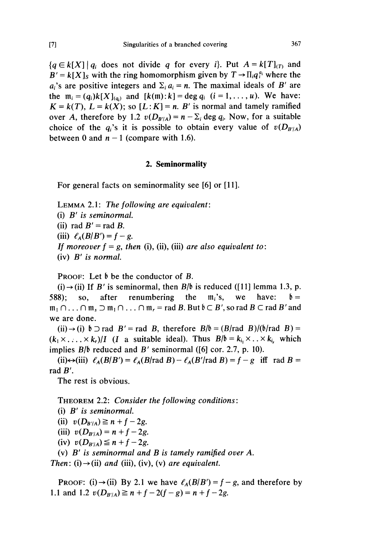${q \in k[X] \mid q_i \text{ does not divide } q \text{ for every } i}.$  Put  $A = k[T]_{(T)}$  and  $B' = k[X]_S$  with the ring homomorphism given by  $T \rightarrow \prod_i q_i^{a_i}$  where the  $a_i$ 's are positive integers and  $\Sigma_i a_i = n$ . The maximal ideals of B' are the  $m_i = (q_i)k[X]_{(q_i)}$  and  $[k(m):k] = \deg q_i$   $(i = 1, ..., u)$ . We have:  $K = k(T)$ ,  $L = k(X)$ ; so  $[L: K] = n$ . B' is normal and tamely ramified over A, therefore by 1.2  $v(D_{B/A}) = n - \sum_i \deg q_i$ . Now, for a suitable choice of the  $q_i$ 's it is possible to obtain every value of  $v(D_{B'/A})$ between 0 and  $n - 1$  (compare with 1.6).

#### 2. Seminormality

For general facts on seminormality see [6] or [11].

LEMMA 2.1: The following are equivalent: (i) B' is seminormal. (ii) rad  $B'$  = rad B. (iii)  $\ell_A(B/B') = f - g$ . If moreover  $f = g$ , then (i), (ii), (iii) are also equivalent to: (iv) B' is normal.

PROOF: Let  $\mathfrak b$  be the conductor of B.

(i)  $\rightarrow$  (ii) If B' is seminormal, then B/b is reduced ([11] lemma 1.3, p. 588): so, after renumbering the  $m_i$ 's, we have:  $\mathfrak{b} =$  $m_1 \cap ... \cap m_s \supset m_1 \cap ... \cap m_r =$  rad B. But  $\mathfrak{b} \subset B'$ , so rad  $B \subset \text{rad } B'$  and we are done.

(ii)  $\rightarrow$  (i)  $\uparrow$   $\supset$  rad  $B'$  = rad B, therefore  $B/\uparrow$  = (B/rad B)/( $\uparrow$ /rad B) =  $(k_1 \times \ldots \times k_r)/I$  (I a suitable ideal). Thus  $B/\mathfrak{b} = k_i \times \ldots \times k_i$ , which implies  $B/\mathfrak{b}$  reduced and  $B'$  seminormal ([6] cor. 2.7, p. 10).

(ii) $\leftrightarrow$ (iii)  $\ell_A(B/B') = \ell_A(B)$  rad  $B) - \ell_A(B)'$  rad  $B = f - g$  iff rad  $B =$ rad B'.

The rest is obvious.

THEOREM 2.2: Consider the following conditions :

(i) B' is seminormal.

(ii)  $v(D_{B'/A}) \ge n + f - 2g$ .

(iii)  $v(D_{B'/A}) = n + f - 2g$ .

(iv)  $v(D_{B'/A}) \leq n + f - 2g$ .

(v) B' is seminormal and B is tamely ramified over A.

Then: (i)  $\rightarrow$  (ii) and (iii), (iv), (v) are equivalent.

PROOF: (i)  $\rightarrow$  (ii) By 2.1 we have  $\ell_A(B/B') = f - g$ , and therefore by 1.1 and 1.2  $v(D_{B'/A}) \ge n + f - 2(f - g) = n + f - 2g$ .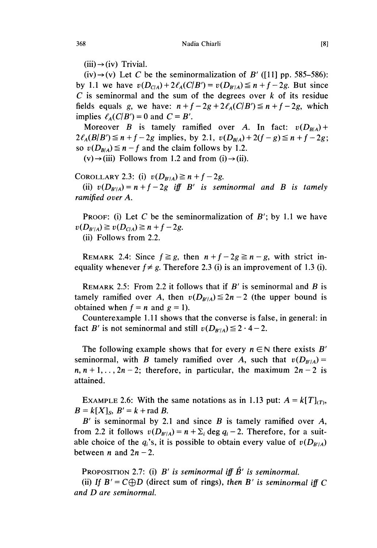$(iii) \rightarrow (iv)$  Trivial.

 $(iv) \rightarrow (v)$  Let C be the seminormalization of B' ([11] pp. 585–586): by 1.1 we have  $v(D_{C/A}) + 2\ell_A(C/B') = v(D_{B'/A}) \le n + f - 2g$ . But since  $C$  is seminormal and the sum of the degrees over  $k$  of its residue fields equals g, we have:  $n + f - 2g + 2\ell_A(C/B') \leq n + f - 2g$ , which implies  $\ell_A(C/B') = 0$  and  $C = B'$ .

Moreover B is tamely ramified over A. In fact:  $v(D_{B/A})$  +  $2\ell_A(B/B') \le n + f - 2g$  implies, by 2.1,  $v(D_{B/A}) + 2(f - g) \le n + f - 2g$ ; so  $v(D_{B/A}) \leq n - f$  and the claim follows by 1.2.

 $(v) \rightarrow (iii)$  Follows from 1.2 and from (i)  $\rightarrow$  (ii).

COROLLARY 2.3: (i)  $v(D_{B/A}) \ge n + f - 2g$ .

(ii)  $v(D_{B'/A}) = n + f - 2g$  iff B' is seminormal and B is tamely ramified over A.

PROOF: (i) Let C be the seminormalization of  $B'$ ; by 1.1 we have  $v(D_{B'/A}) \ge v(D_{C/A}) \ge n + f - 2g.$ 

(ii) Follows from 2.2.

REMARK 2.4: Since  $f \ge g$ , then  $n + f - 2g \ge n - g$ , with strict inequality whenever  $f \neq g$ . Therefore 2.3 (i) is an improvement of 1.3 (i).

REMARK 2.5: From 2.2 it follows that if  $B'$  is seminormal and  $B$  is tamely ramified over A, then  $v(D_{B'/A}) \leq 2n - 2$  (the upper bound is obtained when  $f = n$  and  $g = 1$ ).

Counterexample 1.11 shows that the converse is false, in general: in fact B' is not seminormal and still  $v(D_{B'/A}) \le 2 \cdot 4 - 2$ .

The following example shows that for every  $n \in \mathbb{N}$  there exists B' seminormal, with B tamely ramified over A, such that  $v(D_{B'/A}) =$  $n, n+1, \ldots, 2n-2$ ; therefore, in particular, the maximum  $2n-2$  is attained.

EXAMPLE 2.6: With the same notations as in 1.13 put:  $A = k[T]_{(T)}$ ,  $B = k[X]_S$ ,  $B' = k + rad B$ .

 $B'$  is seminormal by 2.1 and since  $B$  is tamely ramified over  $A$ , from 2.2 it follows  $v(D_{B'/A}) = n + \sum_i \deg q_i - 2$ . Therefore, for a suitable choice of the  $q_i$ 's, it is possible to obtain every value of  $v(D_{B'/A})$ between *n* and  $2n - 2$ .

PROPOSITION 2.7: (i) B' is seminormal iff  $\hat{B}'$  is seminormal.

(ii) If  $B' = C \oplus D$  (direct sum of rings), then B' is seminormal iff C and D are seminormal.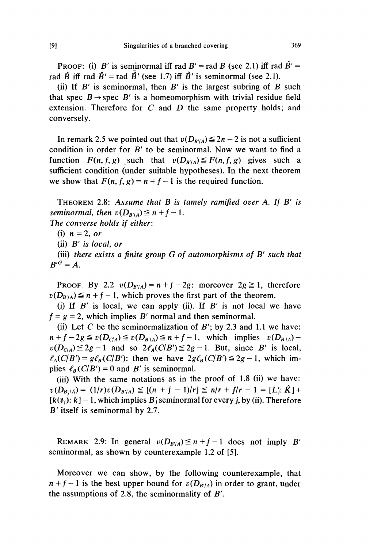PROOF: (i) B' is seminormal iff rad B' = rad B (see 2.1) iff rad  $\hat{B}'$  = rad  $\hat{B}$  iff rad  $\hat{B}'$  = rad  $\hat{B}'$  (see 1.7) iff  $\hat{B}'$  is seminormal (see 2.1).

(ii) If  $B'$  is seminormal, then  $B'$  is the largest subring of  $B$  such that spec  $B \rightarrow$  spec  $B'$  is a homeomorphism with trivial residue field extension. Therefore for  $C$  and  $D$  the same property holds; and conversely.

In remark 2.5 we pointed out that  $v(D_{B'/A}) \leq 2n - 2$  is not a sufficient condition in order for  $B'$  to be seminormal. Now we want to find a function  $F(n, f, g)$  such that  $v(D_{B'/A}) \leq F(n, f, g)$  gives such a sufficient condition (under suitable hypotheses). In the next theorem we show that  $F(n, f, g) = n + f - 1$  is the required function.

THEOREM 2.8: Assume that  $B$  is tamely ramified over  $A$ . If  $B'$  is seminormal, then  $v(D_{B'/A}) \leq n + f - 1$ .

The converse holds if either:

(i)  $n = 2$ , or

(ii) B' is local, or

(iii) there exists a finite group  $G$  of automorphisms of  $B'$  such that  $B^{\prime G}=A.$ 

PROOF. By 2.2  $v(D_{B'/A}) = n + f - 2g$ : moreover  $2g \ge 1$ , therefore  $v(D_{B'/A}) \leq n + f - 1$ , which proves the first part of the theorem.

(i) If  $B'$  is local, we can apply (ii). If  $B'$  is not local we have  $f = g = 2$ , which implies B' normal and then seminormal.

(ii) Let C be the seminormalization of  $B'$ ; by 2.3 and 1.1 we have:  $n + f - 2g \le v(D_{C/A}) \le v(D_{B'/A}) \le n + f - 1$ , which implies  $v(D_{B'/A})$   $v(D_{C/A}) \leq 2g - 1$  and so  $2\ell_A(C/B') \leq 2g - 1$ . But, since B' is local,  $\ell_A(C|B') = g\ell_B(C|B')$ : then we have  $2g\ell_B(C|B') \leq 2g - 1$ , which implies  $\ell_{B}(C/B') = 0$  and B' is seminormal.

(iii) With the same notations as in the proof of 1.8 (ii) we have:  $v(D_{B'/\hat{A}}) = (1/r)v(D_{B'/A}) \leq [(n + f - 1)/r] \leq n/r + f/r - 1 = [L';\hat{K}] +$  $[k(\mathfrak{p}_i): k] - 1$ , which implies B' seminormal for every j, by (ii). Therefore B' itself is seminormal by 2.7.

REMARK 2.9: In general  $v(D_{B'/A}) \leq n + f - 1$  does not imply B' seminormal, as shown by counterexample 1.2 of [5].

Moreover we can show, by the following counterexample, that  $n + f - 1$  is the best upper bound for  $v(D_{B'/A})$  in order to grant, under the assumptions of 2.8, the seminormality of B'.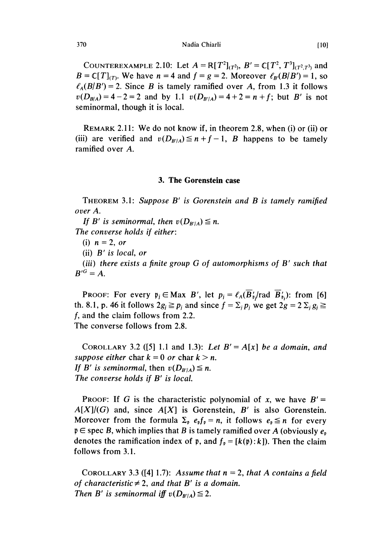Nadia Chiarli

COUNTEREXAMPLE 2.10: Let  $A = \mathbb{R}[T^2]_{(T^2)}$ ,  $B' = \mathbb{C}[T^2, T^3]_{(T^2,T^3)}$  and  $B = C[T]_{(T)}$ . We have  $n = 4$  and  $f = g = 2$ . Moreover  $\ell_B(B/B') = 1$ , so  $\ell_A(B|B') = 2$ . Since B is tamely ramified over A, from 1.3 it follows  $v(D_{B/A}) = 4 - 2 = 2$  and by 1.1  $v(D_{B'/A}) = 4 + 2 = n + f$ ; but B' is not seminormal, though it is local.

REMARK 2.11: We do not know if, in theorem 2.8, when (i) or (ii) or (iii) are verified and  $v(D_{B'/A}) \leq n+f-1$ , B happens to be tamely ramified over A.

#### 3. The Gorenstein case

THEOREM 3.1: Suppose B' is Gorenstein and B is tamely ramified over A.

If B' is seminormal, then  $v(D_{B'/A}) \leq n$ . The converse holds if either:

(i)  $n = 2$ , or

(ii) B' is local, or

(iii) there exists a finite group G of automorphisms of B' such that  $B^{\prime G}=A.$ 

PROOF: For every  $p_j \in \text{Max } B'$ , let  $p_j = \ell_A(\overline{B'_p}/\text{rad }\overline{B'_p})$ : from [6] th. 8.1, p. 46 it follows  $2g_i \geq p_i$  and since  $f = \sum_i p_i$  we get  $2g = 2 \sum_i g_i \geq$ f, and the claim follows from 2.2. The converse follows from 2.8.

COROLLARY 3.2 ([5] 1.1 and 1.3): Let  $B' = A[x]$  be a domain, and suppose either char  $k = 0$  or char  $k > n$ . If B' is seminormal, then  $v(D_{B'/A}) \leq n$ . The converse holds if B' is local.

PROOF: If G is the characteristic polynomial of x, we have  $B' =$  $A[X]/(G)$  and, since  $A[X]$  is Gorenstein, B' is also Gorenstein. Moreover from the formula  $\Sigma_p$   $e_p f_p = n$ , it follows  $e_p \leq n$  for every  $\mathfrak{p} \in \text{spec } B$ , which implies that B is tamely ramified over A (obviously  $e_{\mathfrak{p}}$ denotes the ramification index of  $\mathfrak{p}$ , and  $f_{\mathfrak{p}} = [k(\mathfrak{p}):k]$ . Then the claim follows from 3.1.

COROLLARY 3.3 ([4] 1.7): Assume that  $n = 2$ , that A contains a field of characteristic  $\neq 2$ , and that B' is a domain. Then B' is seminormal iff  $v(D_{B'/A}) \leq 2$ .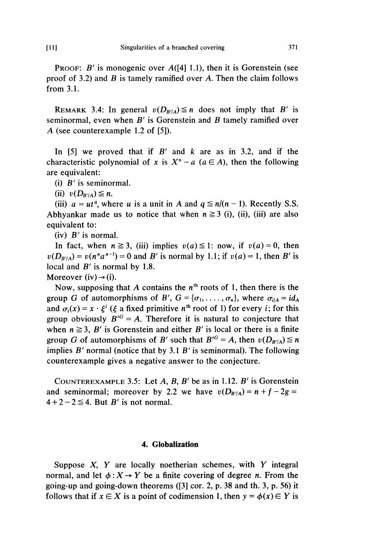**PROOF:** B' is monogenic over  $A([4] 1.1)$ , then it is Gorenstein (see proof of 3.2) and  $\hat{B}$  is tamely ramified over  $\hat{A}$ . Then the claim follows from 3.1.

REMARK 3.4: In general  $v(D_{B'/A}) \leq n$  does not imply that B' is seminormal, even when  $B'$  is Gorenstein and  $B$  tamely ramified over A (see counterexample 1.2 of [5]).

In  $[5]$  we proved that if B' and k are as in 3.2, and if the characteristic polynomial of x is  $X^n - a$  ( $a \in A$ ), then the following are equivalent:

(i) B' is seminormal.

(ii)  $v(D_{B'/A}) \leq n$ .

(iii)  $a = ut^q$ , where u is a unit in A and  $q \le n/(n-1)$ . Recently S.S. Abhyankar made us to notice that when  $n \ge 3$  (i), (ii), (iii) are also equivalent to:

 $(iv)$  B' is normal.

In fact, when  $n \ge 3$ , (iii) implies  $v(a) \le 1$ : now, if  $v(a) = 0$ , then  $v(D_{B'/A}) = v(n^n a^{n-1}) = 0$  and B' is normal by 1.1; if  $v(a) = 1$ , then B' is local and  $B'$  is normal by 1.8.

Moreover (iv)  $\rightarrow$  (i).

Now, supposing that A contains the  $n<sup>th</sup>$  roots of 1, then there is the group G of automorphisms of B',  $G = {\sigma_1, \ldots, \sigma_n}$ , where  $\sigma_{i|A} = id_A$ and  $\sigma_i(x) = x \cdot \xi^i$  ( $\xi$  a fixed primitive  $n^{\text{th}}$  root of 1) for every *i*; for this group obviously  $B^{G} = A$ . Therefore it is natural to conjecture that when  $n \ge 3$ , B' is Gorenstein and either B' is local or there is a finite group G of automorphisms of B' such that  $B^{G} = A$ , then  $v(D_{B|A}) \le n$ implies  $B'$  normal (notice that by 3.1  $B'$  is seminormal). The following counterexample gives a negative answer to the conjecture.

COUNTEREXAMPLE 3.5: Let  $A$ ,  $B$ ,  $B'$  be as in 1.12.  $B'$  is Gorenstein and seminormal; moreover by 2.2 we have  $v(D_{B'/A}) = n + f - 2g =$  $4 + 2 - 2 \le 4$ . But B' is not normal.

#### 4. Globalization

Suppose  $X$ ,  $Y$  are locally noetherian schemes, with  $Y$  integral normal, and let  $\phi : X \rightarrow Y$  be a finite covering of degree *n*. From the going-up and going-down theorems ([3] cor. 2, p. 38 and th. 3, p. 56) it follows that if  $x \in X$  is a point of codimension 1, then  $y = \phi(x) \in Y$  is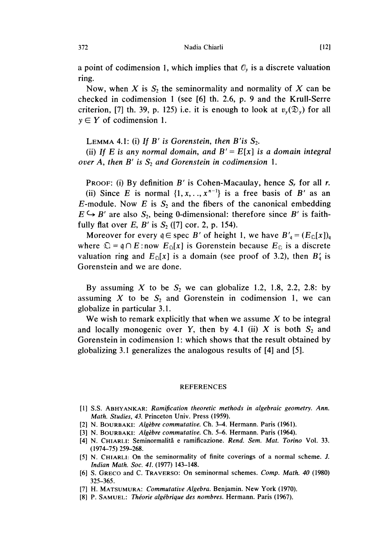a point of codimension 1, which implies that  $\mathcal{O}_y$  is a discrete valuation ring.

Now, when X is  $S_2$  the seminormality and normality of X can be checked in codimension 1 (see [6] th. 2.6, p. 9 and the Krull-Serre criterion, [7] th. 39, p. 125) i.e. it is enough to look at  $v_y(\mathcal{D}_y)$  for all  $y \in Y$  of codimension 1.

LEMMA 4.1: (i) If  $B'$  is Gorenstein, then  $B'$  is  $S_2$ .

(ii) If E is any normal domain, and  $B' = E[x]$  is a domain integral over A, then B' is  $S_2$  and Gorenstein in codimension 1.

PROOF: (i) By definition B' is Cohen-Macaulay, hence  $S_r$  for all r. (ii) Since E is normal  $\{1, x, \ldots, x^{n-1}\}$  is a free basis of B' as an E-module. Now E is  $S_2$  and the fibers of the canonical embedding  $E \hookrightarrow B'$  are also  $S_2$ , being 0-dimensional: therefore since B' is faithfully flat over E, B' is  $S_2$  ([7] cor. 2, p. 154).

Moreover for every  $q \in \text{spec } B'$  of height 1, we have  $B'_q = (E_{\Omega}[x])_q$ where  $\mathfrak{Q} = \mathfrak{q} \cap E$ : now  $E_{\mathfrak{Q}}[x]$  is Gorenstein because  $E_{\mathfrak{Q}}$  is a discrete valuation ring and  $E_{\Omega}[x]$  is a domain (see proof of 3.2), then  $B'_{\alpha}$  is Gorenstein and we are done.

By assuming X to be  $S_2$  we can globalize 1.2, 1.8, 2.2, 2.8: by assuming X to be  $S_2$  and Gorenstein in codimension 1, we can globalize in particular 3.1.

We wish to remark explicitly that when we assume  $X$  to be integral and locally monogenic over Y, then by 4.1 (ii)  $X$  is both  $S_2$  and Gorenstein in codimension 1: which shows that the result obtained by globalizing 3.1 generalizes the analogous results of [4] and [5].

#### REFERENCES

- [1] S.S. ABHYANKAR: Ramification theoretic methods in algebraic geometry. Ann. Math. Studies, 43. Princeton Univ. Press (1959).
- [2] N. BOURBAKI: Algèbre commutative. Ch. 3-4. Hermann. Paris (1961).
- [3] N. BOURBAKI: Algèbre commutative. Ch. 5-6. Hermann. Paris (1964).
- [4] N. CHIARLI: Seminormalită e ramificazione. Rend. Sem. Mat. Torino Vol. 33. (1974-75) 259-268.
- [5] N. CHIARLI: On the seminormality of finite coverings of a normal scheme. J. Indian Math. Soc. 41. (1977) 143-148.
- [6] S. GRECO and C. TRAVERSO: On seminormal schemes. Comp. Math. 40 (1980) 325-365.
- [7] H. MATSUMURA: Commutative Algebra. Benjamin. New York (1970).
- [8] P. SAMUEL: Théorie algébrique des nombres. Hermann. Paris (1967).